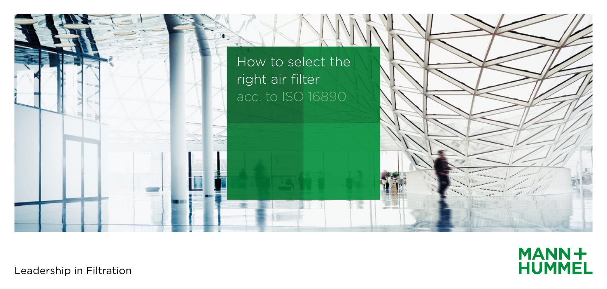



Leadership in Filtration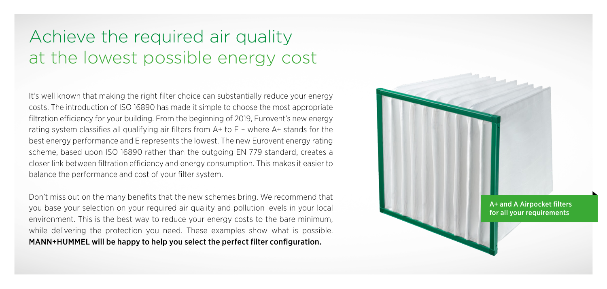## Achieve the required air quality at the lowest possible energy cost

It's well known that making the right filter choice can substantially reduce your energy costs. The introduction of ISO 16890 has made it simple to choose the most appropriate filtration efficiency for your building. From the beginning of 2019, Eurovent's new energy rating system classifies all qualifying air filters from A+ to E – where A+ stands for the best energy performance and E represents the lowest. The new Eurovent energy rating scheme, based upon ISO 16890 rather than the outgoing EN 779 standard, creates a closer link between filtration efficiency and energy consumption. This makes it easier to balance the performance and cost of your filter system.

Don't miss out on the many benefits that the new schemes bring. We recommend that you base your selection on your required air quality and pollution levels in your local environment. This is the best way to reduce your energy costs to the bare minimum, while delivering the protection you need. These examples show what is possible. MANN+HUMMEL will be happy to help you select the perfect filter configuration.

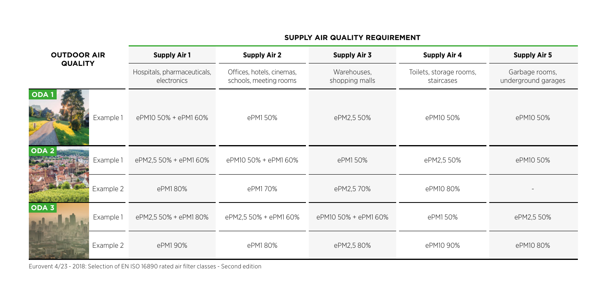| <b>OUTDOOR AIR</b><br><b>QUALITY</b> | <b>Supply Air 1</b>                        | <b>Supply Air 2</b>                                 | Supply Air 3                  | <b>Supply Air 4</b>                   | <b>Supply Air 5</b>                   |
|--------------------------------------|--------------------------------------------|-----------------------------------------------------|-------------------------------|---------------------------------------|---------------------------------------|
|                                      | Hospitals, pharmaceuticals,<br>electronics | Offices, hotels, cinemas,<br>schools, meeting rooms | Warehouses,<br>shopping malls | Toilets, storage rooms,<br>staircases | Garbage rooms,<br>underground garages |
| ODA <sup>1</sup><br>Example 1        | ePM10 50% + ePM1 60%                       | ePM150%                                             | ePM2,5 50%                    | ePM10 50%                             | ePM10 50%                             |
| ODA <sub>2</sub><br>Example 1        | ePM2.5 50% + ePM1 60%                      | ePM10 50% + ePM1 60%                                | ePM150%                       | ePM2,5 50%                            | ePM10 50%                             |
| Example 2                            | ePM180%                                    | ePM170%                                             | ePM2,5 70%                    | ePM10 80%                             |                                       |
| ODA <sub>3</sub><br>Example 1        | ePM2,5 50% + ePM1 80%                      | ePM2,5 50% + ePM1 60%                               | ePM10 50% + ePM1 60%          | ePM150%                               | ePM2,5 50%                            |
| Example 2                            | ePM190%                                    | ePM180%                                             | ePM2,580%                     | ePM10 90%                             | ePM10 80%                             |

## **SUPPLY AIR QUALITY REQUIREMENT**

Eurovent 4/23 - 2018: Selection of EN ISO 16890 rated air filter classes - Second edition